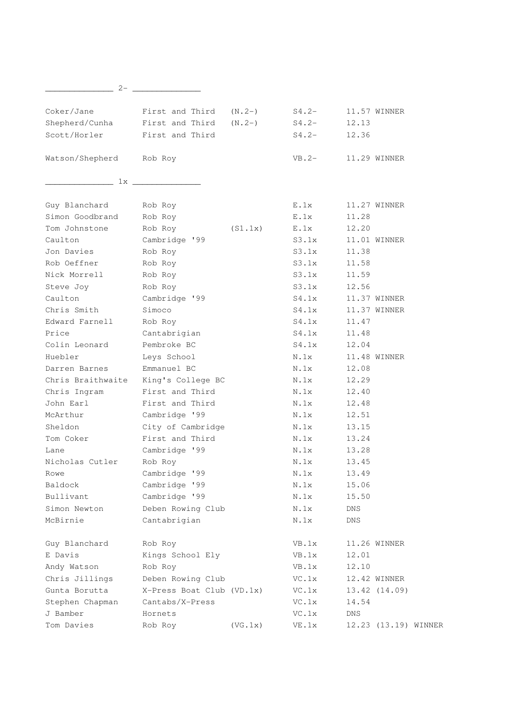| $2-$                    |                                     |         |                                        |                      |
|-------------------------|-------------------------------------|---------|----------------------------------------|----------------------|
|                         |                                     |         |                                        |                      |
| Coker/Jane              | First and Third $(N.2-)$            |         | $S4.2-$                                | 11.57 WINNER         |
| Shepherd/Cunha          | First and Third $(N.2-)$            |         | $S4.2-$                                | 12.13                |
| Scott/Horler            | First and Third                     |         | $S4.2-$                                | 12.36                |
| Watson/Shepherd Rob Roy |                                     |         | $VB.2-$                                | 11.29 WINNER         |
|                         | 1x                                  |         |                                        |                      |
| Guy Blanchard           | Rob Roy                             |         | E.1x                                   | 11.27 WINNER         |
| Simon Goodbrand         | Rob Roy                             |         | E.1x                                   | 11.28                |
| Tom Johnstone           | Rob Roy                             | (S1.1x) | E.1x                                   | 12.20                |
| Caulton                 | Cambridge '99                       |         | S3.1x                                  | 11.01 WINNER         |
| Jon Davies              | Rob Roy                             |         | S3.1x                                  | 11.38                |
| Rob Oeffner             | Rob Roy                             |         | S3.1x                                  | 11.58                |
| Nick Morrell            | Rob Roy                             |         | S3.1x                                  | 11.59                |
| Steve Joy               | Rob Roy                             |         | S3.1x                                  | 12.56                |
| Caulton                 | Cambridge '99                       |         | S4.1x                                  | 11.37 WINNER         |
| Chris Smith             | Simoco                              |         | S4.1x                                  | 11.37 WINNER         |
| Edward Farnell          | Rob Roy                             |         | S4.1x                                  | 11.47                |
| Price                   | Cantabrigian                        |         | S4.1x                                  | 11.48                |
| Colin Leonard           | Pembroke BC                         |         | S4.1x                                  | 12.04                |
| Huebler                 | Leys School                         |         | N.1x                                   | 11.48 WINNER         |
| Darren Barnes           | Emmanuel BC                         |         | N.1x                                   | 12.08                |
|                         | Chris Braithwaite King's College BC |         | N.1x                                   | 12.29                |
| Chris Ingram            | First and Third                     |         | N.1x                                   | 12.40                |
| John Earl               | First and Third                     |         | N.1x                                   | 12.48                |
| McArthur                | Cambridge '99                       |         | N.1x                                   | 12.51                |
| Sheldon                 | City of Cambridge                   |         | N.1x                                   | 13.15                |
| Tom Coker               | First and Third                     |         | N.1x                                   | 13.24                |
| Lane                    | Cambridge '99                       |         | N.1x                                   | 13.28                |
| Nicholas Cutler         | Rob Roy                             |         | N.1x                                   | 13.45                |
| Rowe                    | Cambridge '99                       |         | $\textsc{N}$ . $\textsc{1} \textsc{x}$ | 13.49                |
| Baldock                 | Cambridge '99                       |         | N.1x                                   | 15.06                |
| Bullivant               | Cambridge '99                       |         | N.1x                                   | 15.50                |
| Simon Newton            | Deben Rowing Club                   |         | N.1x                                   | $\mathop{\rm DNS}$   |
| McBirnie                | Cantabrigian                        |         | N.1x                                   | <b>DNS</b>           |
| Guy Blanchard           | Rob Roy                             |         | VB.1x                                  | 11.26 WINNER         |
| E Davis                 | Kings School Ely                    |         | VB.1x                                  | 12.01                |
| Andy Watson             | Rob Roy                             |         | VB.1x                                  | 12.10                |
| Chris Jillings          | Deben Rowing Club                   |         | VC.1x                                  | 12.42 WINNER         |
| Gunta Borutta           | X-Press Boat Club (VD.1x)           |         | VC.1x                                  | 13.42 (14.09)        |
| Stephen Chapman         | Cantabs/X-Press                     |         | VC.1x                                  | 14.54                |
| J Bamber                | Hornets                             |         | VC.1x                                  | $\mathop{\rm DNS}$   |
| Tom Davies              | Rob Roy                             | (VG.1x) | VE.1x                                  | 12.23 (13.19) WINNER |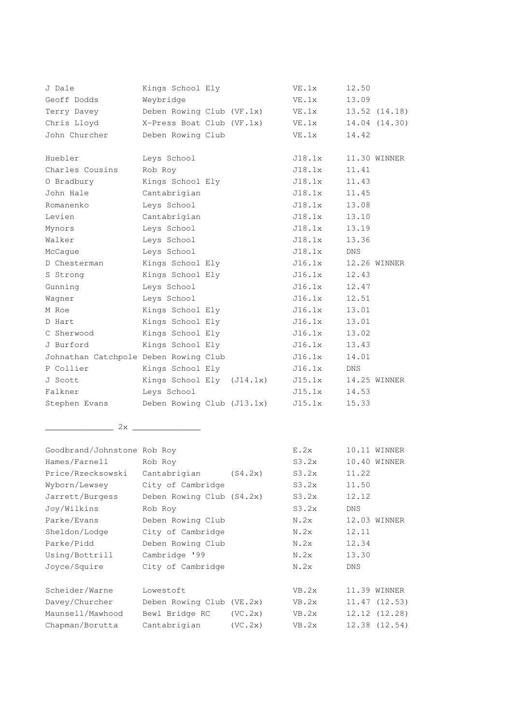| J Dale                                | Kings School Ely           |         | VE.1x    | 12.50      |               |
|---------------------------------------|----------------------------|---------|----------|------------|---------------|
| Geoff Dodds                           | Weybridge                  |         | $VE$ .1x | 13.09      |               |
| Terry Davey                           | Deben Rowing Club (VF.1x)  |         | $VE$ .1x |            | 13.52 (14.18) |
| Chris Lloyd                           | X-Press Boat Club (VF.1x)  |         | $VE$ .1x |            | 14.04 (14.30) |
| John Churcher                         | Deben Rowing Club          |         | $VE$ .1x | 14.42      |               |
|                                       |                            |         |          |            |               |
| Huebler                               | Leys School                |         | J18.1x   |            | 11.30 WINNER  |
| Charles Cousins                       | Rob Roy                    |         | J18.1x   | 11.41      |               |
| O Bradbury                            | Kings School Ely           |         | J18.1x   | 11.43      |               |
| John Hale                             | Cantabrigian               |         | J18.1x   | 11.45      |               |
| Romanenko                             | Leys School                |         | J18.1x   | 13.08      |               |
| Levien                                | Cantabrigian               |         | J18.1x   | 13.10      |               |
| Mynors                                | Leys School                |         | J18.1x   | 13.19      |               |
| Walker                                | Leys School                |         | J18.1x   | 13.36      |               |
| McCaque                               | Leys School                |         | J18.1x   | DNS.       |               |
| D Chesterman                          | Kings School Ely           |         | J16.1x   |            | 12.26 WINNER  |
| S Strong                              | Kings School Ely           |         | J16.1x   | 12.43      |               |
| Gunning                               | Leys School                |         | J16.1x   | 12.47      |               |
| Wagner                                | Leys School                |         | J16.1x   | 12.51      |               |
| M Roe                                 | Kings School Ely           |         | J16.1x   | 13.01      |               |
| D Hart                                | Kings School Ely           |         | J16.1x   | 13.01      |               |
| C Sherwood                            | Kings School Ely           |         | J16.1x   | 13.02      |               |
| J Burford                             | Kings School Ely           |         | J16.1x   | 13.43      |               |
| Johnathan Catchpole Deben Rowing Club |                            |         | J16.1x   | 14.01      |               |
| P Collier                             | Kings School Ely           |         | J16.1x   | <b>DNS</b> |               |
| J Scott                               | Kings School Ely (J14.1x)  |         | J15.1x   |            | 14.25 WINNER  |
| Falkner                               | Leys School                |         | J15.1x   | 14.53      |               |
| Stephen Evans                         | Deben Rowing Club (J13.1x) |         | J15.1x   | 15.33      |               |
|                                       |                            |         |          |            |               |
|                                       | 2x                         |         |          |            |               |
|                                       |                            |         |          |            |               |
| Goodbrand/Johnstone Rob Roy           |                            |         | E.2x     |            | 10.11 WINNER  |
| Hames/Farnell                         | Rob Roy                    |         | S3.2x    |            | 10.40 WINNER  |
| Price/Rzecksowski                     | Cantabrigian               | (S4.2x) | S3.2x    | 11.22      |               |
| Wyborn/Lewsey                         | City of Cambridge          |         | S3.2x    | 11.50      |               |
| Jarrett/Burgess                       | Deben Rowing Club (S4.2x)  |         | S3.2x    | 12.12      |               |
| Joy/Wilkins                           | Rob Roy                    |         | S3.2x    | <b>DNS</b> |               |
| Parke/Evans                           | Deben Rowing Club          |         | N.2x     |            | 12.03 WINNER  |
| Sheldon/Lodge                         | City of Cambridge          |         | N.2x     | 12.11      |               |
| Parke/Pidd                            | Deben Rowing Club          |         | N.2x     | 12.34      |               |
| Using/Bottrill                        | Cambridge '99              |         | N.2x     | 13.30      |               |
| Joyce/Squire                          | City of Cambridge          |         | N.2x     | <b>DNS</b> |               |
| Scheider/Warne                        | Lowestoft                  |         | VB.2x    |            | 11.39 WINNER  |
| Davey/Churcher                        | Deben Rowing Club (VE.2x)  |         | VB.2x    |            | 11.47(12.53)  |
| Maunsell/Mawhood                      | Bewl Bridge RC             | (VC.2x) | VB.2x    |            | 12.12 (12.28) |
| Chapman/Borutta                       | Cantabrigian               | (VC.2x) | VB.2x    |            | 12.38 (12.54) |
|                                       |                            |         |          |            |               |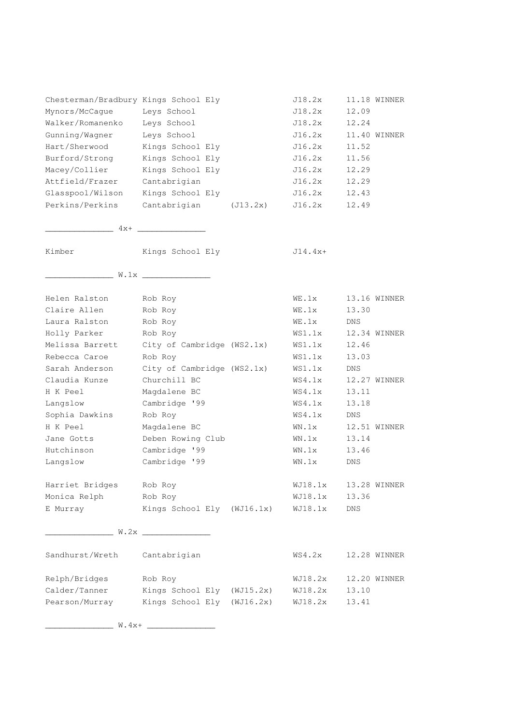| Chesterman/Bradbury Kings School Ely<br>Mynors/McCague<br>Walker/Romanenko<br>Gunning/Wagner<br>Hart/Sherwood<br>Burford/Strong | Leys School<br>Leys School<br>Leys School<br>Kings School Ely<br>Kings School Ely | J18.2x<br>J18.2x<br>J18.2x<br>J16.2x<br>J16.2x<br>J16.2x | 12.09<br>12.24<br>11.52<br>11.56 | 11.18 WINNER<br>11.40 WINNER |
|---------------------------------------------------------------------------------------------------------------------------------|-----------------------------------------------------------------------------------|----------------------------------------------------------|----------------------------------|------------------------------|
| Macey/Collier                                                                                                                   | Kings School Ely                                                                  | J16.2x                                                   | 12.29                            |                              |
| Attfield/Frazer                                                                                                                 | Cantabrigian                                                                      | J16.2x<br>J16.2x                                         | 12.29<br>12.43                   |                              |
| Glasspool/Wilson<br>Perkins/Perkins                                                                                             | Kings School Ely                                                                  |                                                          |                                  |                              |
|                                                                                                                                 | Cantabrigian (J13.2x)                                                             | J16.2x                                                   | 12.49                            |                              |
|                                                                                                                                 | $4x+$                                                                             |                                                          |                                  |                              |
| Kimber                                                                                                                          | Kings School Ely                                                                  | $J14.4x+$                                                |                                  |                              |
|                                                                                                                                 | $W \cdot 1 \times$                                                                |                                                          |                                  |                              |
| Helen Ralston                                                                                                                   | Rob Roy                                                                           | $WE$ . 1 $x$                                             |                                  | 13.16 WINNER                 |
| Claire Allen                                                                                                                    | Rob Roy                                                                           | $WE$ .1x                                                 | 13.30                            |                              |
| Laura Ralston                                                                                                                   | Rob Roy                                                                           | $WE$ .1x                                                 | DNS.                             |                              |
| Holly Parker                                                                                                                    | Rob Roy                                                                           | WS1.1x                                                   |                                  | 12.34 WINNER                 |
| Melissa Barrett                                                                                                                 | City of Cambridge (WS2.1x)                                                        | WS1.1x                                                   | 12.46                            |                              |
| Rebecca Caroe                                                                                                                   | Rob Roy                                                                           | WS1.1x                                                   | 13.03                            |                              |
| Sarah Anderson                                                                                                                  | City of Cambridge (WS2.1x)                                                        | WS1.1x                                                   | DNS.                             |                              |
| Claudia Kunze                                                                                                                   | Churchill BC                                                                      | WS4.1x                                                   |                                  | 12.27 WINNER                 |
| H K Peel                                                                                                                        | Magdalene BC                                                                      | WS4.1x                                                   | 13.11                            |                              |
| Langslow                                                                                                                        | Cambridge '99                                                                     | WS4.1x                                                   | 13.18                            |                              |
| Sophia Dawkins                                                                                                                  | Rob Roy                                                                           | WS4.1x                                                   | DNS.                             |                              |
| H K Peel                                                                                                                        | Magdalene BC                                                                      | $WN \cdot 1x$                                            |                                  | 12.51 WINNER                 |
| Jane Gotts                                                                                                                      | Deben Rowing Club                                                                 | $WN \cdot 1x$                                            | 13.14                            |                              |
| Hutchinson                                                                                                                      | Cambridge '99                                                                     | $WN \cdot 1x$                                            | 13.46                            |                              |
| Langslow                                                                                                                        | Cambridge '99                                                                     | $WN \cdot 1x$                                            | DNS                              |                              |
| Harriet Bridges                                                                                                                 | Rob Roy                                                                           | WJ18.1x                                                  |                                  | 13.28 WINNER                 |
| Monica Relph                                                                                                                    | Rob Roy                                                                           | WJ18.1x                                                  | 13.36                            |                              |
| E Murray                                                                                                                        | Kings School Ely (WJ16.1x)                                                        | WJ18.1x                                                  | DNS                              |                              |
|                                                                                                                                 | W.2x                                                                              |                                                          |                                  |                              |
| Sandhurst/Wreth                                                                                                                 | Cantabrigian                                                                      | WS4.2x                                                   |                                  | 12.28 WINNER                 |
| Relph/Bridges                                                                                                                   | Rob Roy                                                                           | WJ18.2x                                                  |                                  | 12.20 WINNER                 |
| Calder/Tanner                                                                                                                   | Kings School Ely (WJ15.2x)                                                        | WJ18.2x                                                  | 13.10                            |                              |
| Pearson/Murray                                                                                                                  | Kings School Ely (WJ16.2x)                                                        | WJ18.2x                                                  | 13.41                            |                              |

\_\_\_\_\_\_\_\_\_\_\_\_\_\_ W.4x+ \_\_\_\_\_\_\_\_\_\_\_\_\_\_